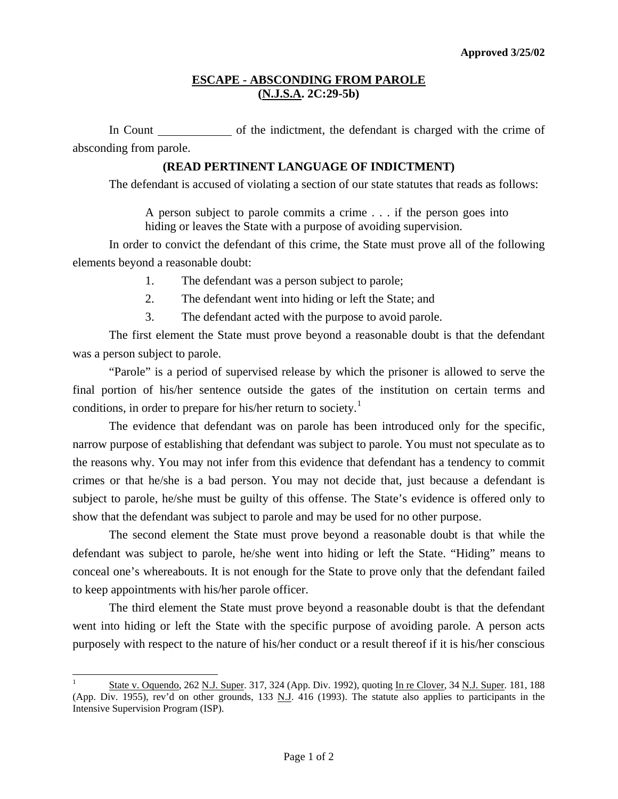## **ESCAPE - ABSCONDING FROM PAROLE (N.J.S.A. 2C:29-5b)**

In Count of the indictment, the defendant is charged with the crime of absconding from parole.

### **(READ PERTINENT LANGUAGE OF INDICTMENT)**

The defendant is accused of violating a section of our state statutes that reads as follows:

A person subject to parole commits a crime . . . if the person goes into hiding or leaves the State with a purpose of avoiding supervision.

 In order to convict the defendant of this crime, the State must prove all of the following elements beyond a reasonable doubt:

- 1. The defendant was a person subject to parole;
- 2. The defendant went into hiding or left the State; and
- 3. The defendant acted with the purpose to avoid parole.

 The first element the State must prove beyond a reasonable doubt is that the defendant was a person subject to parole.

 "Parole" is a period of supervised release by which the prisoner is allowed to serve the final portion of his/her sentence outside the gates of the institution on certain terms and conditions, in order to prepare for his/her return to society.<sup>[1](#page-0-0)</sup>

 The evidence that defendant was on parole has been introduced only for the specific, narrow purpose of establishing that defendant was subject to parole. You must not speculate as to the reasons why. You may not infer from this evidence that defendant has a tendency to commit crimes or that he/she is a bad person. You may not decide that, just because a defendant is subject to parole, he/she must be guilty of this offense. The State's evidence is offered only to show that the defendant was subject to parole and may be used for no other purpose.

 The second element the State must prove beyond a reasonable doubt is that while the defendant was subject to parole, he/she went into hiding or left the State. "Hiding" means to conceal one's whereabouts. It is not enough for the State to prove only that the defendant failed to keep appointments with his/her parole officer.

 The third element the State must prove beyond a reasonable doubt is that the defendant went into hiding or left the State with the specific purpose of avoiding parole. A person acts purposely with respect to the nature of his/her conduct or a result thereof if it is his/her conscious

l

<span id="page-0-1"></span><span id="page-0-0"></span><sup>1</sup> State v. Oquendo, 262 N.J. Super. 317, 324 (App. Div. 1992), quoting In re Clover, 34 N.J. Super. 181, 188 (App. Div. 1955), rev'd on other grounds, 133 N.J. 416 (1993). The statute also applies to participants in the Intensive Supervision Program (ISP).